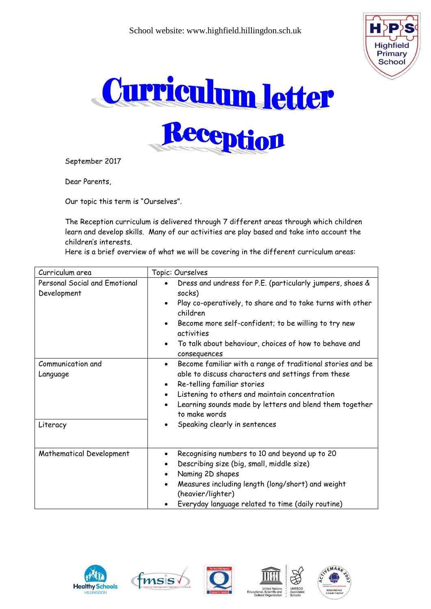





September 2017

Dear Parents,

Our topic this term is "Ourselves".

The Reception curriculum is delivered through 7 different areas through which children learn and develop skills. Many of our activities are play based and take into account the children's interests.

Here is a brief overview of what we will be covering in the different curriculum areas:

| Curriculum area                              | Topic: Ourselves                                                                                                                                                                                                                                                                                                     |
|----------------------------------------------|----------------------------------------------------------------------------------------------------------------------------------------------------------------------------------------------------------------------------------------------------------------------------------------------------------------------|
| Personal Social and Emotional<br>Development | Dress and undress for P.E. (particularly jumpers, shoes &<br>socks)<br>Play co-operatively, to share and to take turns with other<br>children<br>Become more self-confident; to be willing to try new<br>activities<br>To talk about behaviour, choices of how to behave and<br>$\bullet$<br>consequences            |
| Communication and<br>Language                | Become familiar with a range of traditional stories and be<br>$\bullet$<br>able to discuss characters and settings from these<br>Re-telling familiar stories<br>$\bullet$<br>Listening to others and maintain concentration<br>$\bullet$<br>Learning sounds made by letters and blend them together<br>to make words |
| Literacy                                     | Speaking clearly in sentences<br>$\bullet$                                                                                                                                                                                                                                                                           |
| Mathematical Development                     | Recognising numbers to 10 and beyond up to 20<br>$\bullet$<br>Describing size (big, small, middle size)<br>$\bullet$<br>Naming 2D shapes<br>$\bullet$<br>Measures including length (long/short) and weight<br>(heavier/lighter)<br>Everyday language related to time (daily routine)                                 |